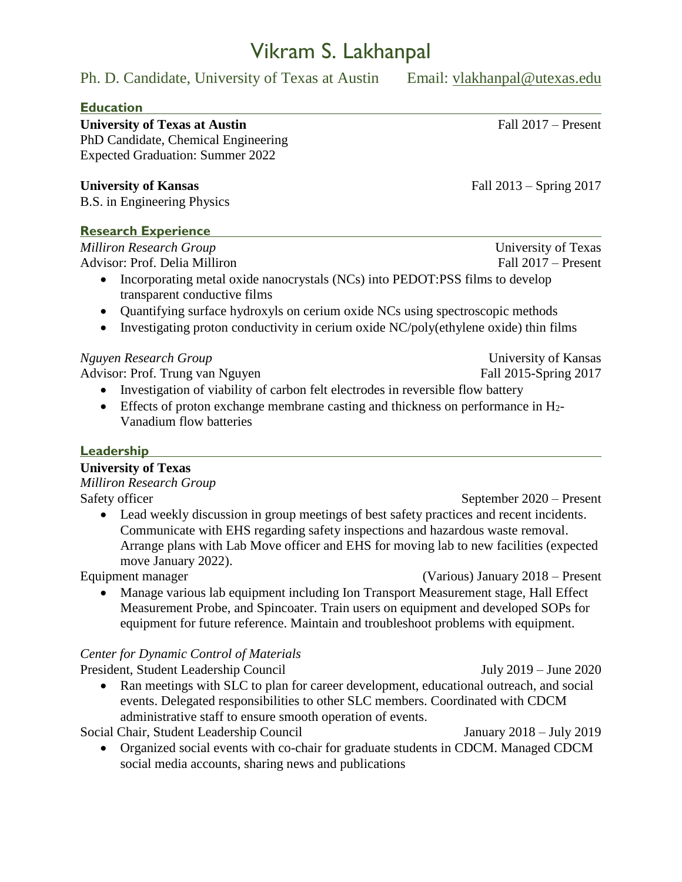# Vikram S. Lakhanpal

Ph. D. Candidate, University of Texas at Austin Email: [vlakhanpal@utexas.edu](mailto:vlakhanpal@utexas.edu)

#### **Education**

University of Texas at Austin Fall 2017 – Present PhD Candidate, Chemical Engineering Expected Graduation: Summer 2022

**University of Kansas** Fall 2013 – Spring 2017

B.S. in Engineering Physics

### **Research Experience**

*Milliron Research Group* University of Texas Advisor: Prof. Delia Milliron Fall 2017 – Present

- Incorporating metal oxide nanocrystals (NCs) into PEDOT:PSS films to develop transparent conductive films
- Quantifying surface hydroxyls on cerium oxide NCs using spectroscopic methods
- $\bullet$  Investigating proton conductivity in cerium oxide NC/poly(ethylene oxide) thin films

### *Nguyen Research Group* University of Kansas

Advisor: Prof. Trung van Nguyen Fall 2015-Spring 2017

- Investigation of viability of carbon felt electrodes in reversible flow battery
- Effects of proton exchange membrane casting and thickness on performance in  $H_2$ -Vanadium flow batteries

## **Leadership**

#### **University of Texas**

*Milliron Research Group* Safety officer September 2020 – Present

• Lead weekly discussion in group meetings of best safety practices and recent incidents. Communicate with EHS regarding safety inspections and hazardous waste removal. Arrange plans with Lab Move officer and EHS for moving lab to new facilities (expected move January 2022).

Equipment manager (Various) January 2018 – Present

 Manage various lab equipment including Ion Transport Measurement stage, Hall Effect Measurement Probe, and Spincoater. Train users on equipment and developed SOPs for equipment for future reference. Maintain and troubleshoot problems with equipment.

## *Center for Dynamic Control of Materials*

President, Student Leadership Council July 2019 – June 2020 • Ran meetings with SLC to plan for career development, educational outreach, and social events. Delegated responsibilities to other SLC members. Coordinated with CDCM administrative staff to ensure smooth operation of events.

Social Chair, Student Leadership Council January 2018 – July 2019

 Organized social events with co-chair for graduate students in CDCM. Managed CDCM social media accounts, sharing news and publications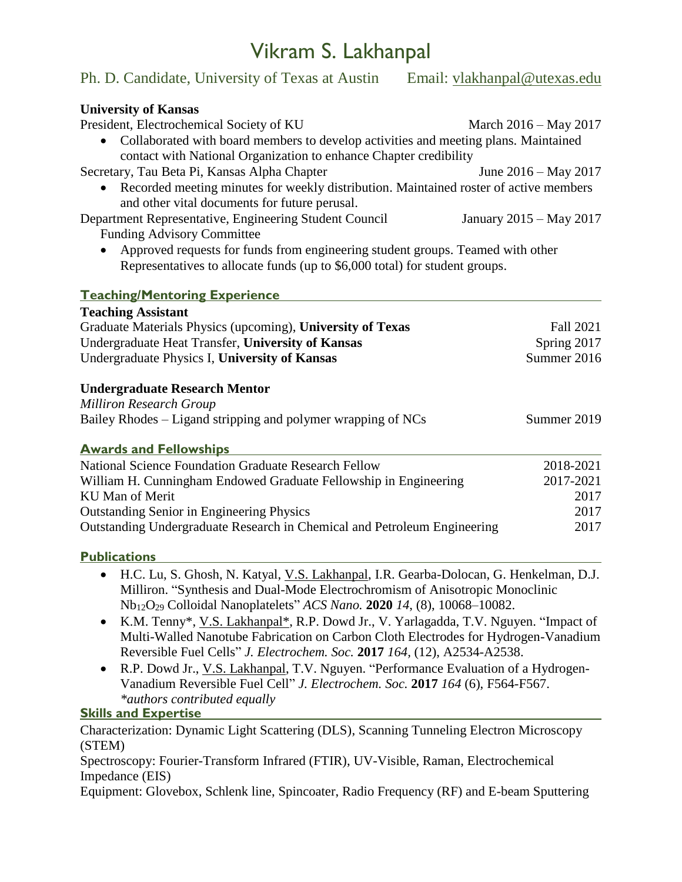# Vikram S. Lakhanpal

| Ph. D. Candidate, University of Texas at Austin                                                                                                               | Email: vlakhanpal@utexas.edu |
|---------------------------------------------------------------------------------------------------------------------------------------------------------------|------------------------------|
| <b>University of Kansas</b>                                                                                                                                   |                              |
| President, Electrochemical Society of KU                                                                                                                      | March 2016 – May 2017        |
| Collaborated with board members to develop activities and meeting plans. Maintained                                                                           |                              |
| contact with National Organization to enhance Chapter credibility                                                                                             |                              |
| Secretary, Tau Beta Pi, Kansas Alpha Chapter                                                                                                                  | June $2016 - May 2017$       |
| Recorded meeting minutes for weekly distribution. Maintained roster of active members<br>and other vital documents for future perusal.                        |                              |
| Department Representative, Engineering Student Council                                                                                                        | January 2015 – May 2017      |
| <b>Funding Advisory Committee</b>                                                                                                                             |                              |
| Approved requests for funds from engineering student groups. Teamed with other<br>Representatives to allocate funds (up to \$6,000 total) for student groups. |                              |
| <b>Teaching/Mentoring Experience</b>                                                                                                                          |                              |
| <b>Teaching Assistant</b>                                                                                                                                     |                              |
| Graduate Materials Physics (upcoming), University of Texas                                                                                                    | Fall 2021                    |
| Undergraduate Heat Transfer, University of Kansas                                                                                                             | Spring 2017                  |
| Undergraduate Physics I, University of Kansas                                                                                                                 | Summer 2016                  |
| <b>Undergraduate Research Mentor</b>                                                                                                                          |                              |
| <b>Milliron Research Group</b>                                                                                                                                |                              |
| Bailey Rhodes – Ligand stripping and polymer wrapping of NCs                                                                                                  | Summer 2019                  |
| <b>Awards and Fellowships</b>                                                                                                                                 |                              |
| <b>National Science Foundation Graduate Research Fellow</b>                                                                                                   | 2018-2021                    |
| William H. Cunningham Endowed Graduate Fellowship in Engineering                                                                                              | 2017-2021                    |
| KU Man of Merit                                                                                                                                               | 2017                         |
| <b>Outstanding Senior in Engineering Physics</b>                                                                                                              | 2017                         |
| Outstanding Undergraduate Research in Chemical and Petroleum Engineering                                                                                      | 2017                         |
| <b>Publications</b>                                                                                                                                           |                              |

- H.C. Lu, S. Ghosh, N. Katyal, V.S. Lakhanpal, I.R. Gearba-Dolocan, G. Henkelman, D.J. Milliron. "Synthesis and Dual-Mode Electrochromism of Anisotropic Monoclinic Nb12O<sup>29</sup> Colloidal Nanoplatelets" *ACS Nano.* **2020** *14*, (8), 10068–10082.
- K.M. Tenny\*, V.S. Lakhanpal\*, R.P. Dowd Jr., V. Yarlagadda, T.V. Nguyen. "Impact of Multi-Walled Nanotube Fabrication on Carbon Cloth Electrodes for Hydrogen-Vanadium Reversible Fuel Cells" *J. Electrochem. Soc.* **2017** *164,* (12), A2534-A2538.
- R.P. Dowd Jr., V.S. Lakhanpal, T.V. Nguyen. "Performance Evaluation of a Hydrogen-Vanadium Reversible Fuel Cell" *J. Electrochem. Soc.* **2017** *164* (6), F564-F567. *\*authors contributed equally*

**Skills and Expertise**

Characterization: Dynamic Light Scattering (DLS), Scanning Tunneling Electron Microscopy (STEM)

Spectroscopy: Fourier-Transform Infrared (FTIR), UV-Visible, Raman, Electrochemical Impedance (EIS)

Equipment: Glovebox, Schlenk line, Spincoater, Radio Frequency (RF) and E-beam Sputtering